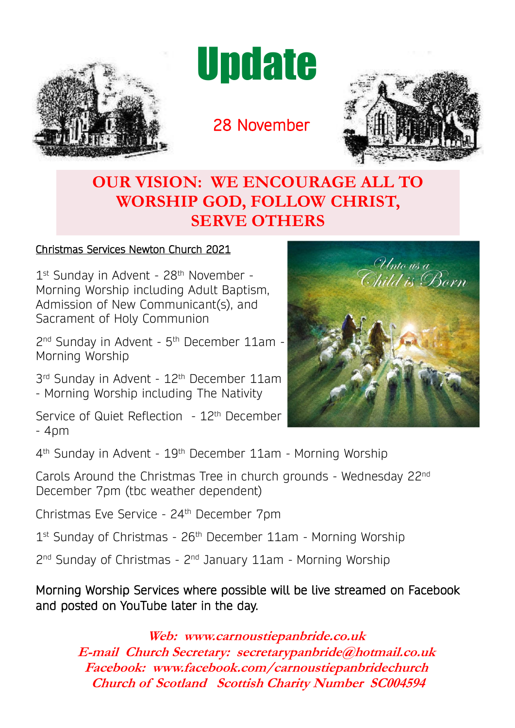

**Update** 

28 November



## **OUR VISION: WE ENCOURAGE ALL TO WORSHIP GOD, FOLLOW CHRIST, SERVE OTHERS**

### Christmas Services Newton Church 2021

1<sup>st</sup> Sunday in Advent - 28<sup>th</sup> November -Morning Worship including Adult Baptism, Admission of New Communicant(s), and Sacrament of Holy Communion

2<sup>nd</sup> Sunday in Advent - 5<sup>th</sup> December 11am -Morning Worship

3<sup>rd</sup> Sunday in Advent - 12<sup>th</sup> December 11am - Morning Worship including The Nativity

Service of Quiet Reflection - 12<sup>th</sup> December - 4pm



4<sup>th</sup> Sunday in Advent - 19<sup>th</sup> December 11am - Morning Worship

Carols Around the Christmas Tree in church grounds - Wednesday 22nd December 7pm (tbc weather dependent)

Christmas Eve Service - 24th December 7pm

1<sup>st</sup> Sunday of Christmas - 26<sup>th</sup> December 11am - Morning Worship

2<sup>nd</sup> Sunday of Christmas - 2<sup>nd</sup> January 11am - Morning Worship

Morning Worship Services where possible will be live streamed on Facebook and posted on YouTube later in the day.

**Web: www.carnoustiepanbride.co.uk E-mail Church Secretary: secretarypanbride@hotmail.co.uk Facebook: www.facebook.com/carnoustiepanbridechurch Church of Scotland Scottish Charity Number SC004594**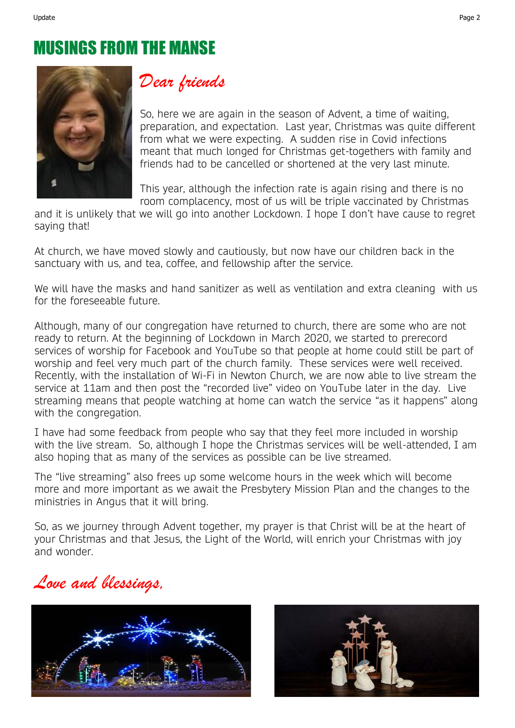## MUSINGS FROM THE MANSE



### Dear friends

So, here we are again in the season of Advent, a time of waiting, preparation, and expectation. Last year, Christmas was quite different from what we were expecting. A sudden rise in Covid infections meant that much longed for Christmas get-togethers with family and friends had to be cancelled or shortened at the very last minute.

This year, although the infection rate is again rising and there is no room complacency, most of us will be triple vaccinated by Christmas

and it is unlikely that we will go into another Lockdown. I hope I don't have cause to regret saying that!

At church, we have moved slowly and cautiously, but now have our children back in the sanctuary with us, and tea, coffee, and fellowship after the service.

We will have the masks and hand sanitizer as well as ventilation and extra cleaning with us for the foreseeable future.

Although, many of our congregation have returned to church, there are some who are not ready to return. At the beginning of Lockdown in March 2020, we started to prerecord services of worship for Facebook and YouTube so that people at home could still be part of worship and feel very much part of the church family. These services were well received. Recently, with the installation of Wi-Fi in Newton Church, we are now able to live stream the service at 11am and then post the "recorded live" video on YouTube later in the day. Live streaming means that people watching at home can watch the service "as it happens" along with the congregation.

I have had some feedback from people who say that they feel more included in worship with the live stream. So, although I hope the Christmas services will be well-attended, I am also hoping that as many of the services as possible can be live streamed.

The "live streaming" also frees up some welcome hours in the week which will become more and more important as we await the Presbytery Mission Plan and the changes to the ministries in Angus that it will bring.

So, as we journey through Advent together, my prayer is that Christ will be at the heart of your Christmas and that Jesus, the Light of the World, will enrich your Christmas with joy and wonder.





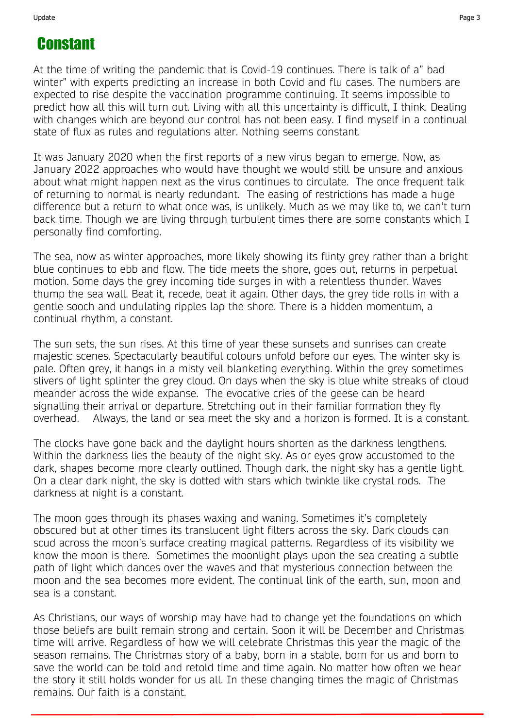## Constant

At the time of writing the pandemic that is Covid-19 continues. There is talk of a" bad winter" with experts predicting an increase in both Covid and flu cases. The numbers are expected to rise despite the vaccination programme continuing. It seems impossible to predict how all this will turn out. Living with all this uncertainty is difficult, I think. Dealing with changes which are beyond our control has not been easy. I find myself in a continual state of flux as rules and regulations alter. Nothing seems constant.

It was January 2020 when the first reports of a new virus began to emerge. Now, as January 2022 approaches who would have thought we would still be unsure and anxious about what might happen next as the virus continues to circulate. The once frequent talk of returning to normal is nearly redundant. The easing of restrictions has made a huge difference but a return to what once was, is unlikely. Much as we may like to, we can't turn back time. Though we are living through turbulent times there are some constants which I personally find comforting.

The sea, now as winter approaches, more likely showing its flinty grey rather than a bright blue continues to ebb and flow. The tide meets the shore, goes out, returns in perpetual motion. Some days the grey incoming tide surges in with a relentless thunder. Waves thump the sea wall. Beat it, recede, beat it again. Other days, the grey tide rolls in with a gentle sooch and undulating ripples lap the shore. There is a hidden momentum, a continual rhythm, a constant.

The sun sets, the sun rises. At this time of year these sunsets and sunrises can create majestic scenes. Spectacularly beautiful colours unfold before our eyes. The winter sky is pale. Often grey, it hangs in a misty veil blanketing everything. Within the grey sometimes slivers of light splinter the grey cloud. On days when the sky is blue white streaks of cloud meander across the wide expanse. The evocative cries of the geese can be heard signalling their arrival or departure. Stretching out in their familiar formation they fly overhead. Always, the land or sea meet the sky and a horizon is formed. It is a constant.

The clocks have gone back and the daylight hours shorten as the darkness lengthens. Within the darkness lies the beauty of the night sky. As or eyes grow accustomed to the dark, shapes become more clearly outlined. Though dark, the night sky has a gentle light. On a clear dark night, the sky is dotted with stars which twinkle like crystal rods. The darkness at night is a constant.

The moon goes through its phases waxing and waning. Sometimes it's completely obscured but at other times its translucent light filters across the sky. Dark clouds can scud across the moon's surface creating magical patterns. Regardless of its visibility we know the moon is there. Sometimes the moonlight plays upon the sea creating a subtle path of light which dances over the waves and that mysterious connection between the moon and the sea becomes more evident. The continual link of the earth, sun, moon and sea is a constant.

As Christians, our ways of worship may have had to change yet the foundations on which those beliefs are built remain strong and certain. Soon it will be December and Christmas time will arrive. Regardless of how we will celebrate Christmas this year the magic of the season remains. The Christmas story of a baby, born in a stable, born for us and born to save the world can be told and retold time and time again. No matter how often we hear the story it still holds wonder for us all. In these changing times the magic of Christmas remains. Our faith is a constant.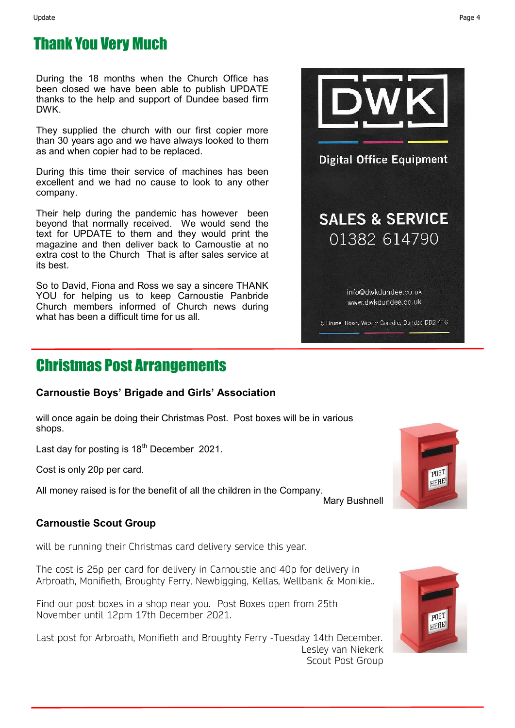### Thank You Very Much

During the 18 months when the Church Office has been closed we have been able to publish UPDATE thanks to the help and support of Dundee based firm DWK.

They supplied the church with our first copier more than 30 years ago and we have always looked to them as and when copier had to be replaced.

During this time their service of machines has been excellent and we had no cause to look to any other company.

Their help during the pandemic has however been beyond that normally received. We would send the text for UPDATE to them and they would print the magazine and then deliver back to Carnoustie at no extra cost to the Church That is after sales service at its best.

So to David, Fiona and Ross we say a sincere THANK YOU for helping us to keep Carnoustie Panbride Church members informed of Church news during what has been a difficult time for us all.

### Christmas Post Arrangements

### **Carnoustie Boys' Brigade and Girls' Association**

will once again be doing their Christmas Post. Post boxes will be in various shops.

Last day for posting is  $18<sup>th</sup>$  December 2021.

Cost is only 20p per card.

All money raised is for the benefit of all the children in the Company.

Mary Bushnell

### **Carnoustie Scout Group**

will be running their Christmas card delivery service this year.

The cost is 25p per card for delivery in Carnoustie and 40p for delivery in Arbroath, Monifieth, Broughty Ferry, Newbigging, Kellas, Wellbank & Monikie..

Find our post boxes in a shop near you. Post Boxes open from 25th November until 12pm 17th December 2021.

Last post for Arbroath, Monifieth and Broughty Ferry -Tuesday 14th December. Lesley van Niekerk Scout Post Group





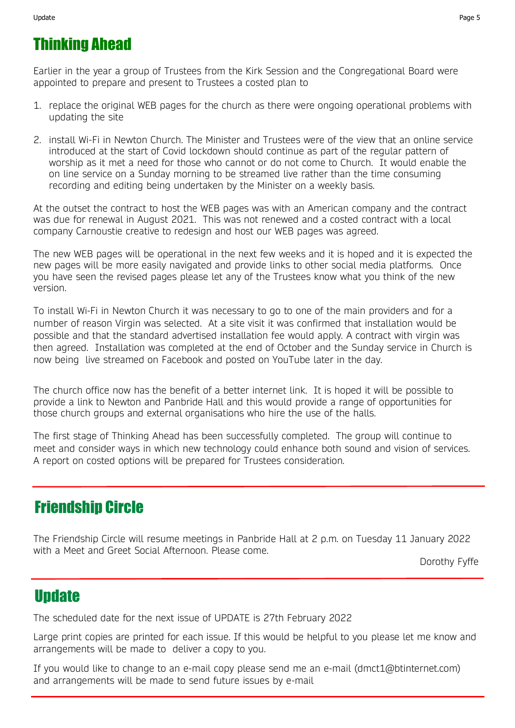## Thinking Ahead

Earlier in the year a group of Trustees from the Kirk Session and the Congregational Board were appointed to prepare and present to Trustees a costed plan to

- 1. replace the original WEB pages for the church as there were ongoing operational problems with updating the site
- 2. install Wi-Fi in Newton Church. The Minister and Trustees were of the view that an online service introduced at the start of Covid lockdown should continue as part of the regular pattern of worship as it met a need for those who cannot or do not come to Church. It would enable the on line service on a Sunday morning to be streamed live rather than the time consuming recording and editing being undertaken by the Minister on a weekly basis.

At the outset the contract to host the WEB pages was with an American company and the contract was due for renewal in August 2021. This was not renewed and a costed contract with a local company Carnoustie creative to redesign and host our WEB pages was agreed.

The new WEB pages will be operational in the next few weeks and it is hoped and it is expected the new pages will be more easily navigated and provide links to other social media platforms. Once you have seen the revised pages please let any of the Trustees know what you think of the new version.

To install Wi-Fi in Newton Church it was necessary to go to one of the main providers and for a number of reason Virgin was selected. At a site visit it was confirmed that installation would be possible and that the standard advertised installation fee would apply. A contract with virgin was then agreed. Installation was completed at the end of October and the Sunday service in Church is now being live streamed on Facebook and posted on YouTube later in the day.

The church office now has the benefit of a better internet link. It is hoped it will be possible to provide a link to Newton and Panbride Hall and this would provide a range of opportunities for those church groups and external organisations who hire the use of the halls.

The first stage of Thinking Ahead has been successfully completed. The group will continue to meet and consider ways in which new technology could enhance both sound and vision of services. A report on costed options will be prepared for Trustees consideration.

## Friendship Circle

The Friendship Circle will resume meetings in Panbride Hall at 2 p.m. on Tuesday 11 January 2022 with a Meet and Greet Social Afternoon. Please come.

Dorothy Fyffe

### **Update**

The scheduled date for the next issue of UPDATE is 27th February 2022

Large print copies are printed for each issue. If this would be helpful to you please let me know and arrangements will be made to deliver a copy to you.

If you would like to change to an e-mail copy please send me an e-mail (dmct1@btinternet.com) and arrangements will be made to send future issues by e-mail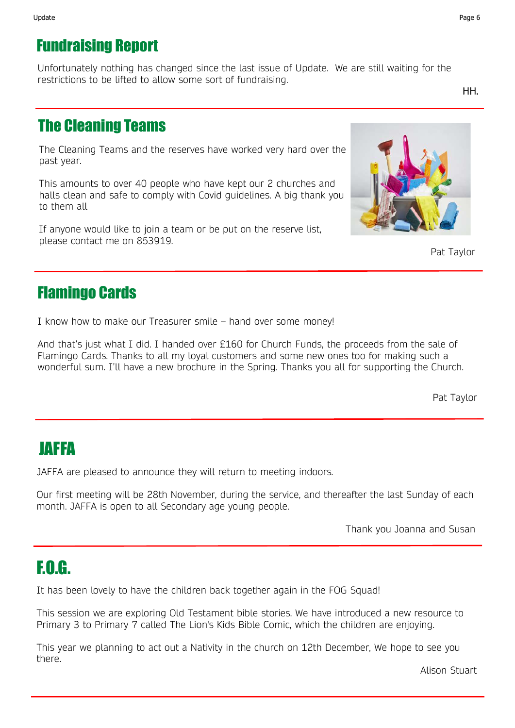Unfortunately nothing has changed since the last issue of Update. We are still waiting for the restrictions to be lifted to allow some sort of fundraising.

HH.

## The Cleaning Teams

The Cleaning Teams and the reserves have worked very hard over the past year.

This amounts to over 40 people who have kept our 2 churches and halls clean and safe to comply with Covid guidelines. A big thank you to them all

If anyone would like to join a team or be put on the reserve list, please contact me on 853919.



Pat Taylor

## Flamingo Cards

I know how to make our Treasurer smile – hand over some money!

And that's just what I did. I handed over £160 for Church Funds, the proceeds from the sale of Flamingo Cards. Thanks to all my loyal customers and some new ones too for making such a wonderful sum. I'll have a new brochure in the Spring. Thanks you all for supporting the Church.

Pat Taylor

# JAFFA

JAFFA are pleased to announce they will return to meeting indoors.

Our first meeting will be 28th November, during the service, and thereafter the last Sunday of each month. JAFFA is open to all Secondary age young people.

Thank you Joanna and Susan

# F.O.G.

It has been lovely to have the children back together again in the FOG Squad!

This session we are exploring Old Testament bible stories. We have introduced a new resource to Primary 3 to Primary 7 called The Lion's Kids Bible Comic, which the children are enjoying.

This year we planning to act out a Nativity in the church on 12th December, We hope to see you there.

Alison Stuart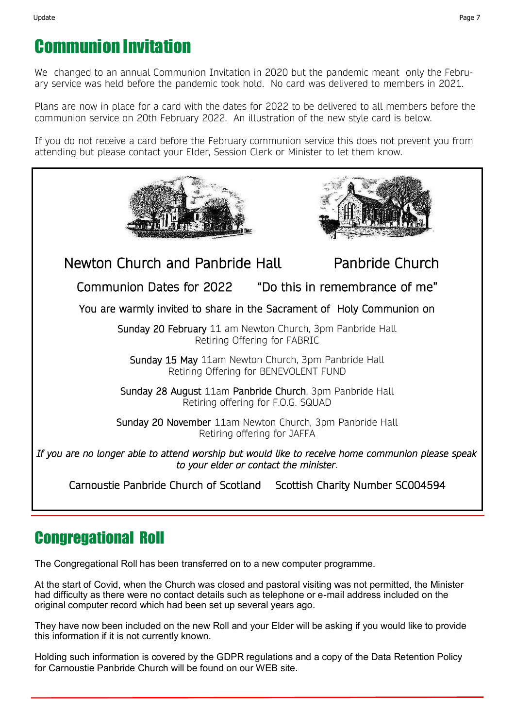# Communion Invitation

We changed to an annual Communion Invitation in 2020 but the pandemic meant only the February service was held before the pandemic took hold. No card was delivered to members in 2021.

Plans are now in place for a card with the dates for 2022 to be delivered to all members before the communion service on 20th February 2022. An illustration of the new style card is below.

If you do not receive a card before the February communion service this does not prevent you from attending but please contact your Elder, Session Clerk or Minister to let them know.



### Congregational Roll

The Congregational Roll has been transferred on to a new computer programme.

At the start of Covid, when the Church was closed and pastoral visiting was not permitted, the Minister had difficulty as there were no contact details such as telephone or e-mail address included on the original computer record which had been set up several years ago.

They have now been included on the new Roll and your Elder will be asking if you would like to provide this information if it is not currently known.

Holding such information is covered by the GDPR regulations and a copy of the Data Retention Policy for Carnoustie Panbride Church will be found on our WEB site.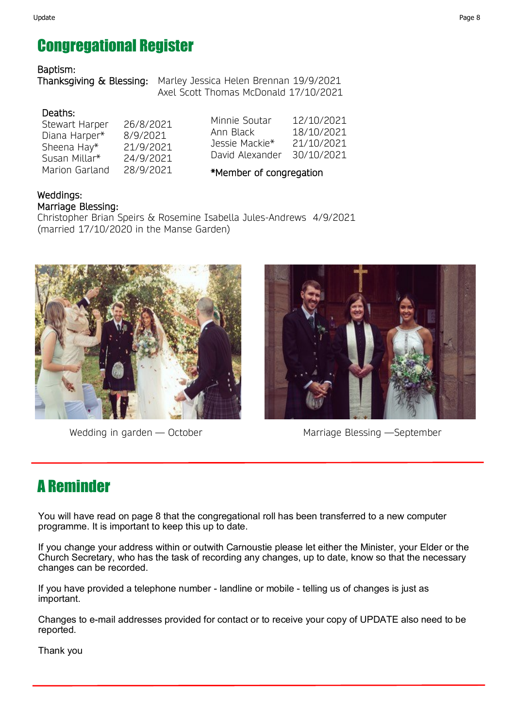## Congregational Register

### Baptism:

Thanksgiving & Blessing: Marley Jessica Helen Brennan 19/9/2021 Axel Scott Thomas McDonald 17/10/2021

### Deaths:

Stewart Harper 26/8/2021 Diana Harper\* 8/9/2021 Sheena Hay\* 21/9/2021 Susan Millar\* 24/9/2021 Marion Garland 28/9/2021

Minnie Soutar 12/10/2021 Ann Black 18/10/2021 Jessie Mackie\* 21/10/2021 David Alexander 30/10/2021

\*Member of congregation

### Weddings: Marriage Blessing:

Christopher Brian Speirs & Rosemine Isabella Jules-Andrews 4/9/2021 (married 17/10/2020 in the Manse Garden)





Wedding in garden — October Marriage Blessing — September

# A Reminder

You will have read on page 8 that the congregational roll has been transferred to a new computer programme. It is important to keep this up to date.

If you change your address within or outwith Carnoustie please let either the Minister, your Elder or the Church Secretary, who has the task of recording any changes, up to date, know so that the necessary changes can be recorded.

If you have provided a telephone number - landline or mobile - telling us of changes is just as important.

Changes to e-mail addresses provided for contact or to receive your copy of UPDATE also need to be reported.

Thank you